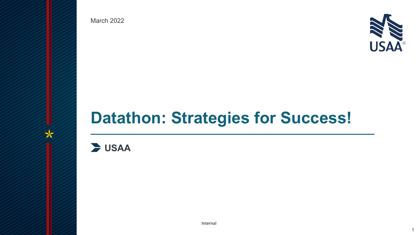March 2022



1

# **Datathon: Strategies for Success!**

**USAA**

**USAA Classification:**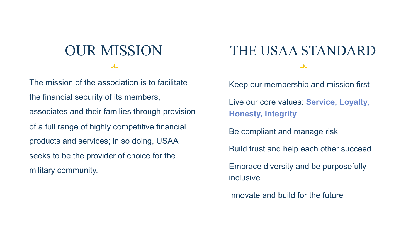### OUR MISSION  $\overline{\mathcal{N}}$

The mission of the association is to facilitate the financial security of its members, associates and their families through provision of a full range of highly competitive financial products and services; in so doing, USAA seeks to be the provider of choice for the military community.

## THE USAA STANDARD

 $\rightarrow$ 

• Keep our membership and mission first • Live our core values: **Service, Loyalty, Honesty, Integrity** Be compliant and manage risk • Build trust and help each other succeed • Embrace diversity and be purposefully inclusive • Innovate and build for the future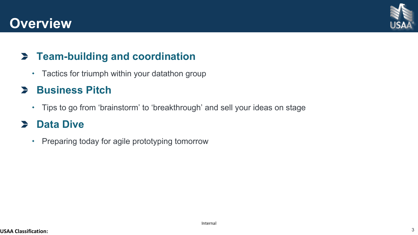## **Overview**



### **Team-building and coordination**

Tactics for triumph within your datathon group

#### **Business Pitch**

Tips to go from 'brainstorm' to 'breakthrough' and sell your ideas on stage

#### $\blacktriangleright$ **Data Dive**

• Preparing today for agile prototyping tomorrow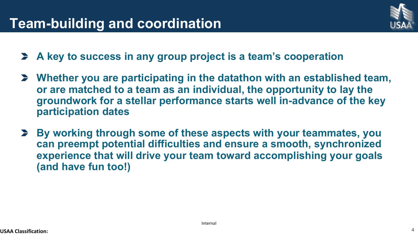## **Team-building and coordination**



4

- **A key to success in any group project is a team's cooperation**
- **Whether you are participating in the datathon with an established team, or are matched to a team as an individual, the opportunity to lay the groundwork for a stellar performance starts well in-advance of the key participation dates**
- $\blacktriangleright$ **By working through some of these aspects with your teammates, you can preempt potential difficulties and ensure a smooth, synchronized experience that will drive your team toward accomplishing your goals (and have fun too!)**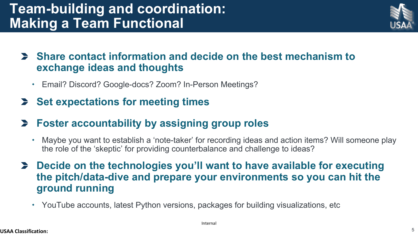## **Team-building and coordination: Making a Team Functional**



#### **Share contact information and decide on the best mechanism to exchange ideas and thoughts**

- Email? Discord? Google-docs? Zoom? In-Person Meetings?
- **Set expectations for meeting times**
- **Foster accountability by assigning group roles**
	- Maybe you want to establish a 'note-taker' for recording ideas and action items? Will someone play the role of the 'skeptic' for providing counterbalance and challenge to ideas?
- **Decide on the technologies you'll want to have available for executing the pitch/data-dive and prepare your environments so you can hit the ground running**
	- YouTube accounts, latest Python versions, packages for building visualizations, etc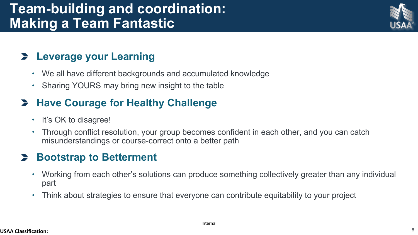## **Team-building and coordination: Making a Team Fantastic**

#### **Leverage your Learning**

- We all have different backgrounds and accumulated knowledge
- Sharing YOURS may bring new insight to the table

### **Have Courage for Healthy Challenge**

- It's OK to disagree!
- Through conflict resolution, your group becomes confident in each other, and you can catch misunderstandings or course-correct onto a better path

#### $\blacktriangleright$ **Bootstrap to Betterment**

- Working from each other's solutions can produce something collectively greater than any individual part
- Think about strategies to ensure that everyone can contribute equitability to your project

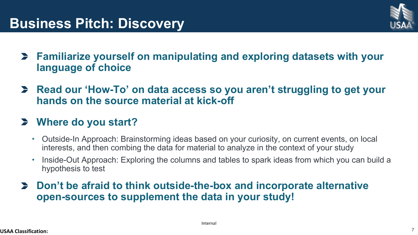

- **Familiarize yourself on manipulating and exploring datasets with your language of choice**
- **Read our 'How-To' on data access so you aren't struggling to get your hands on the source material at kick-off**

#### **Where do you start?**

- Outside-In Approach: Brainstorming ideas based on your curiosity, on current events, on local interests, and then combing the data for material to analyze in the context of your study
- Inside-Out Approach: Exploring the columns and tables to spark ideas from which you can build a hypothesis to test
- **Don't be afraid to think outside-the-box and incorporate alternative open-sources to supplement the data in your study!**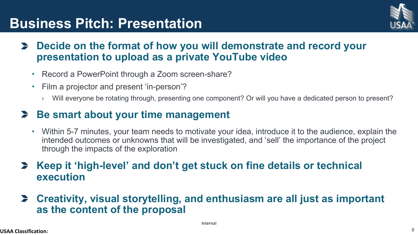## **Business Pitch: Presentation**



- **Decide on the format of how you will demonstrate and record your presentation to upload as a private YouTube video**
	- Record a PowerPoint through a Zoom screen-share?
	- Film a projector and present 'in-person'?
		- › Will everyone be rotating through, presenting one component? Or will you have a dedicated person to present?

#### **Be smart about your time management**

- Within 5-7 minutes, your team needs to motivate your idea, introduce it to the audience, explain the intended outcomes or unknowns that will be investigated, and 'sell' the importance of the project through the impacts of the exploration
- **Keep it 'high-level' and don't get stuck on fine details or technical execution**
- **Creativity, visual storytelling, and enthusiasm are all just as important as the content of the proposal**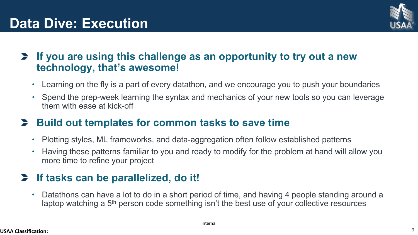

#### **If you are using this challenge as an opportunity to try out a new technology, that's awesome!**

- Learning on the fly is a part of every datathon, and we encourage you to push your boundaries
- Spend the prep-week learning the syntax and mechanics of your new tools so you can leverage them with ease at kick-off

#### **Build out templates for common tasks to save time**

- Plotting styles, ML frameworks, and data-aggregation often follow established patterns
- Having these patterns familiar to you and ready to modify for the problem at hand will allow you more time to refine your project

#### **If tasks can be parallelized, do it!**

 Datathons can have a lot to do in a short period of time, and having 4 people standing around a laptop watching a 5<sup>th</sup> person code something isn't the best use of your collective resources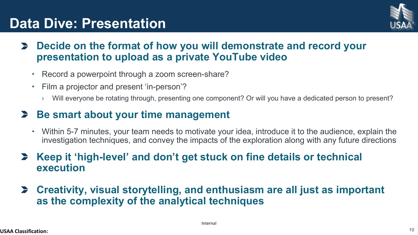## **Data Dive: Presentation**



- **Decide on the format of how you will demonstrate and record your presentation to upload as a private YouTube video**
	- Record a powerpoint through a zoom screen-share?
	- Film a projector and present 'in-person'?
		- › Will everyone be rotating through, presenting one component? Or will you have a dedicated person to present?

#### **Be smart about your time management**

- Within 5-7 minutes, your team needs to motivate your idea, introduce it to the audience, explain the investigation techniques, and convey the impacts of the exploration along with any future directions
- **Keep it 'high-level' and don't get stuck on fine details or technical execution**
- **Creativity, visual storytelling, and enthusiasm are all just as important as the complexity of the analytical techniques**